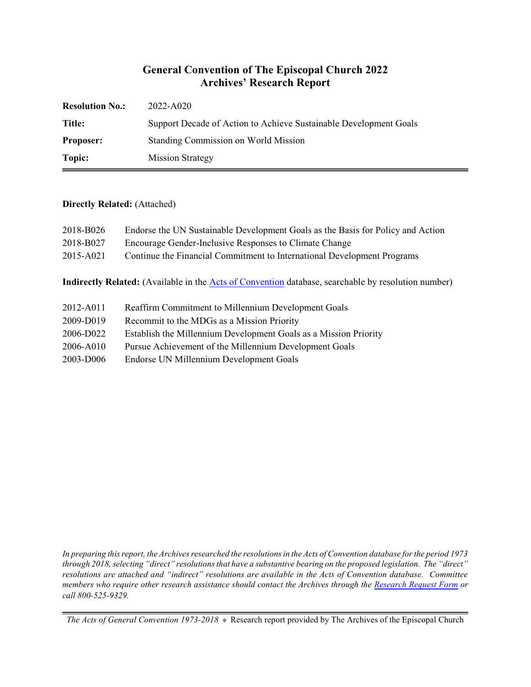## **General Convention of The Episcopal Church 2022 Archives' Research Report**

| <b>Resolution No.:</b> | 2022-A020                                                         |
|------------------------|-------------------------------------------------------------------|
| <b>Title:</b>          | Support Decade of Action to Achieve Sustainable Development Goals |
| <b>Proposer:</b>       | Standing Commission on World Mission                              |
| Topic:                 | <b>Mission Strategy</b>                                           |

#### **Directly Related:** (Attached)

| 2018-B026 | Endorse the UN Sustainable Development Goals as the Basis for Policy and Action |
|-----------|---------------------------------------------------------------------------------|
| 2018-B027 | Encourage Gender-Inclusive Responses to Climate Change                          |
| 2015-A021 | Continue the Financial Commitment to International Development Programs         |

**Indirectly Related:** (Available in the [Acts of Convention](https://www.episcopalarchives.org/e-archives/acts/) database, searchable by resolution number)

- 2012-A011 Reaffirm Commitment to Millennium Development Goals
- 2009-D019 Recommit to the MDGs as a Mission Priority
- 2006-D022 Establish the Millennium Development Goals as a Mission Priority
- 2006-A010 Pursue Achievement of the Millennium Development Goals
- 2003-D006 Endorse UN Millennium Development Goals

*In preparing this report, the Archives researched the resolutions in the Acts of Convention database for the period 1973 through 2018, selecting "direct" resolutions that have a substantive bearing on the proposed legislation. The "direct" resolutions are attached and "indirect" resolutions are available in the Acts of Convention database. Committee members who require other research assistance should contact the Archives through the Research [Request Form](https://www.episcopalarchives.org/contact/research-request-form) or call 800-525-9329.*

*The Acts of General Convention 1973-2018*  $*$  Research report provided by The Archives of the Episcopal Church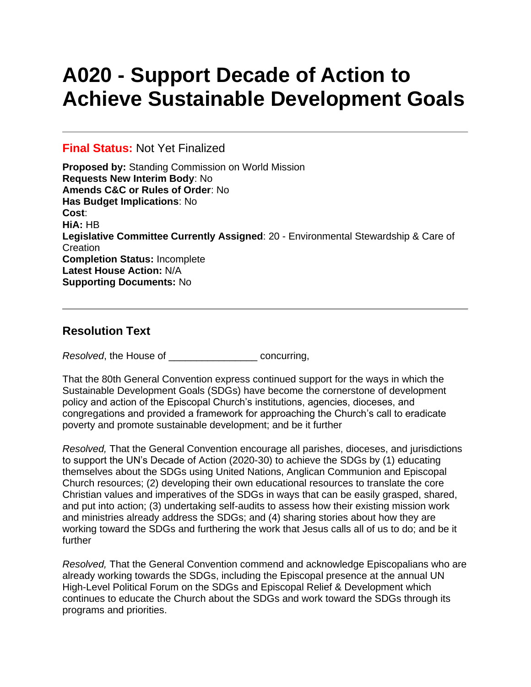# **A020 - Support Decade of Action to Achieve Sustainable Development Goals**

### **Final Status:** Not Yet Finalized

**Proposed by:** Standing Commission on World Mission **Requests New Interim Body**: No **Amends C&C or Rules of Order**: No **Has Budget Implications**: No **Cost**: **HiA:** HB **Legislative Committee Currently Assigned**: 20 - Environmental Stewardship & Care of **Creation Completion Status:** Incomplete **Latest House Action:** N/A **Supporting Documents:** No

## **Resolution Text**

*Resolved*, the House of \_\_\_\_\_\_\_\_\_\_\_\_\_\_\_\_ concurring,

That the 80th General Convention express continued support for the ways in which the Sustainable Development Goals (SDGs) have become the cornerstone of development policy and action of the Episcopal Church's institutions, agencies, dioceses, and congregations and provided a framework for approaching the Church's call to eradicate poverty and promote sustainable development; and be it further

*Resolved,* That the General Convention encourage all parishes, dioceses, and jurisdictions to support the UN's Decade of Action (2020-30) to achieve the SDGs by (1) educating themselves about the SDGs using United Nations, Anglican Communion and Episcopal Church resources; (2) developing their own educational resources to translate the core Christian values and imperatives of the SDGs in ways that can be easily grasped, shared, and put into action; (3) undertaking self-audits to assess how their existing mission work and ministries already address the SDGs; and (4) sharing stories about how they are working toward the SDGs and furthering the work that Jesus calls all of us to do; and be it further

*Resolved,* That the General Convention commend and acknowledge Episcopalians who are already working towards the SDGs, including the Episcopal presence at the annual UN High-Level Political Forum on the SDGs and Episcopal Relief & Development which continues to educate the Church about the SDGs and work toward the SDGs through its programs and priorities.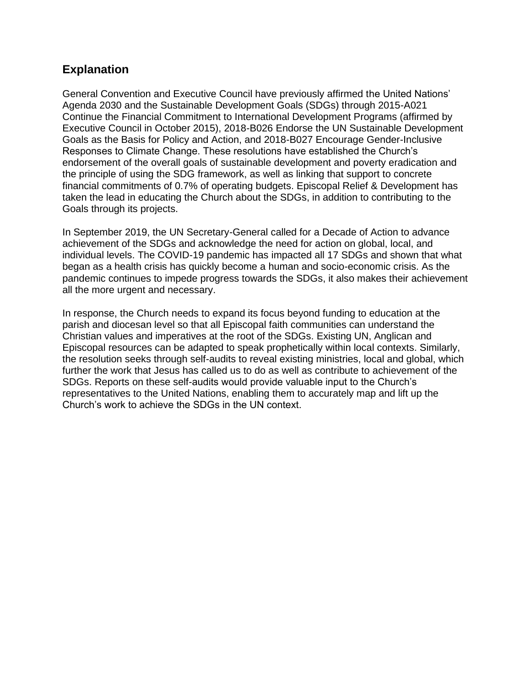## **Explanation**

General Convention and Executive Council have previously affirmed the United Nations' Agenda 2030 and the Sustainable Development Goals (SDGs) through 2015-A021 Continue the Financial Commitment to International Development Programs (affirmed by Executive Council in October 2015), 2018-B026 Endorse the UN Sustainable Development Goals as the Basis for Policy and Action, and 2018-B027 Encourage Gender-Inclusive Responses to Climate Change. These resolutions have established the Church's endorsement of the overall goals of sustainable development and poverty eradication and the principle of using the SDG framework, as well as linking that support to concrete financial commitments of 0.7% of operating budgets. Episcopal Relief & Development has taken the lead in educating the Church about the SDGs, in addition to contributing to the Goals through its projects.

In September 2019, the UN Secretary-General called for a Decade of Action to advance achievement of the SDGs and acknowledge the need for action on global, local, and individual levels. The COVID-19 pandemic has impacted all 17 SDGs and shown that what began as a health crisis has quickly become a human and socio-economic crisis. As the pandemic continues to impede progress towards the SDGs, it also makes their achievement all the more urgent and necessary.

In response, the Church needs to expand its focus beyond funding to education at the parish and diocesan level so that all Episcopal faith communities can understand the Christian values and imperatives at the root of the SDGs. Existing UN, Anglican and Episcopal resources can be adapted to speak prophetically within local contexts. Similarly, the resolution seeks through self-audits to reveal existing ministries, local and global, which further the work that Jesus has called us to do as well as contribute to achievement of the SDGs. Reports on these self-audits would provide valuable input to the Church's representatives to the United Nations, enabling them to accurately map and lift up the Church's work to achieve the SDGs in the UN context.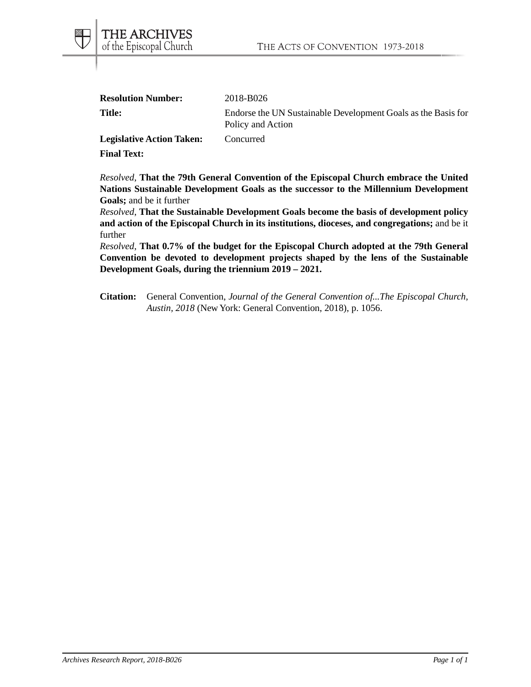| <b>Resolution Number:</b> | 2018-B026                                                                          |
|---------------------------|------------------------------------------------------------------------------------|
| Title:                    | Endorse the UN Sustainable Development Goals as the Basis for<br>Policy and Action |

Legislative Action Taken: Concurred

**Final Text:**

*Resolved*, **That the 79th General Convention of the Episcopal Church embrace the United Nations Sustainable Development Goals as the successor to the Millennium Development Goals;** and be it further

*Resolved*, **That the Sustainable Development Goals become the basis of development policy and action of the Episcopal Church in its institutions, dioceses, and congregations;** and be it further

*Resolved*, **That 0.7% of the budget for the Episcopal Church adopted at the 79th General Convention be devoted to development projects shaped by the lens of the Sustainable Development Goals, during the triennium 2019 – 2021.**

**Citation:** General Convention, *Journal of the General Convention of...The Episcopal Church, Austin, 2018* (New York: General Convention, 2018), p. 1056.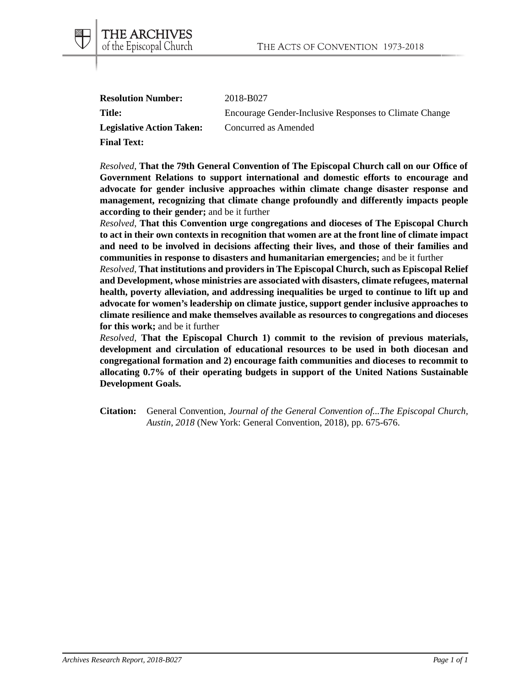| <b>Resolution Number:</b>        | 2018-B027                                              |
|----------------------------------|--------------------------------------------------------|
| Title:                           | Encourage Gender-Inclusive Responses to Climate Change |
| <b>Legislative Action Taken:</b> | Concurred as Amended                                   |
| <b>Final Text:</b>               |                                                        |

THE ARCHIVES of the Episcopal Church

*Resolved*, **That the 79th General Convention of The Episcopal Church call on our Office of Government Relations to support international and domestic efforts to encourage and advocate for gender inclusive approaches within climate change disaster response and management, recognizing that climate change profoundly and differently impacts people according to their gender;** and be it further

*Resolved*, **That this Convention urge congregations and dioceses of The Episcopal Church to act in their own contexts in recognition that women are at the front line of climate impact and need to be involved in decisions affecting their lives, and those of their families and communities in response to disasters and humanitarian emergencies;** and be it further

*Resolved*, **That institutions and providers in The Episcopal Church, such as Episcopal Relief and Development, whose ministries are associated with disasters, climate refugees, maternal health, poverty alleviation, and addressing inequalities be urged to continue to lift up and advocate for women's leadership on climate justice, support gender inclusive approaches to climate resilience and make themselves available as resources to congregations and dioceses for this work;** and be it further

*Resolved*, **That the Episcopal Church 1) commit to the revision of previous materials, development and circulation of educational resources to be used in both diocesan and congregational formation and 2) encourage faith communities and dioceses to recommit to allocating 0.7% of their operating budgets in support of the United Nations Sustainable Development Goals.**

**Citation:** General Convention, *Journal of the General Convention of...The Episcopal Church, Austin, 2018* (New York: General Convention, 2018), pp. 675-676.